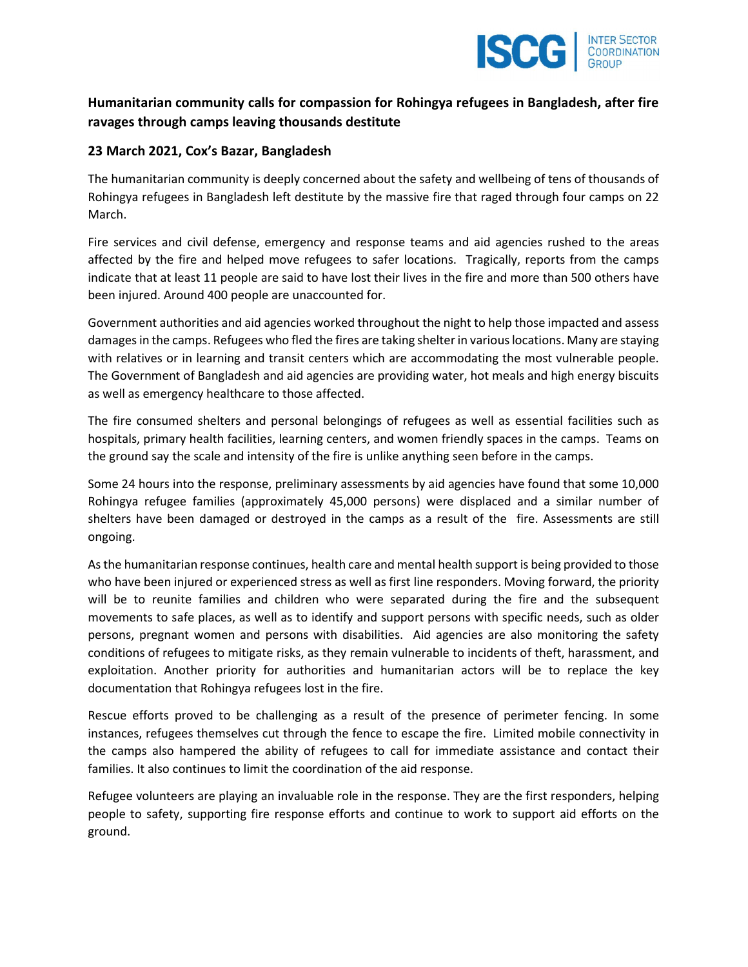

## Humanitarian community calls for compassion for Rohingya refugees in Bangladesh, after fire ravages through camps leaving thousands destitute

## 23 March 2021, Cox's Bazar, Bangladesh

The humanitarian community is deeply concerned about the safety and wellbeing of tens of thousands of Rohingya refugees in Bangladesh left destitute by the massive fire that raged through four camps on 22 March.

Fire services and civil defense, emergency and response teams and aid agencies rushed to the areas affected by the fire and helped move refugees to safer locations. Tragically, reports from the camps indicate that at least 11 people are said to have lost their lives in the fire and more than 500 others have been injured. Around 400 people are unaccounted for.

Government authorities and aid agencies worked throughout the night to help those impacted and assess damages in the camps. Refugees who fled the fires are taking shelter in various locations. Many are staying with relatives or in learning and transit centers which are accommodating the most vulnerable people. The Government of Bangladesh and aid agencies are providing water, hot meals and high energy biscuits as well as emergency healthcare to those affected.

The fire consumed shelters and personal belongings of refugees as well as essential facilities such as hospitals, primary health facilities, learning centers, and women friendly spaces in the camps. Teams on the ground say the scale and intensity of the fire is unlike anything seen before in the camps.

Some 24 hours into the response, preliminary assessments by aid agencies have found that some 10,000 Rohingya refugee families (approximately 45,000 persons) were displaced and a similar number of shelters have been damaged or destroyed in the camps as a result of the fire. Assessments are still ongoing.

As the humanitarian response continues, health care and mental health support is being provided to those who have been injured or experienced stress as well as first line responders. Moving forward, the priority will be to reunite families and children who were separated during the fire and the subsequent movements to safe places, as well as to identify and support persons with specific needs, such as older persons, pregnant women and persons with disabilities. Aid agencies are also monitoring the safety conditions of refugees to mitigate risks, as they remain vulnerable to incidents of theft, harassment, and exploitation. Another priority for authorities and humanitarian actors will be to replace the key documentation that Rohingya refugees lost in the fire.

Rescue efforts proved to be challenging as a result of the presence of perimeter fencing. In some instances, refugees themselves cut through the fence to escape the fire. Limited mobile connectivity in the camps also hampered the ability of refugees to call for immediate assistance and contact their families. It also continues to limit the coordination of the aid response.

Refugee volunteers are playing an invaluable role in the response. They are the first responders, helping people to safety, supporting fire response efforts and continue to work to support aid efforts on the ground.